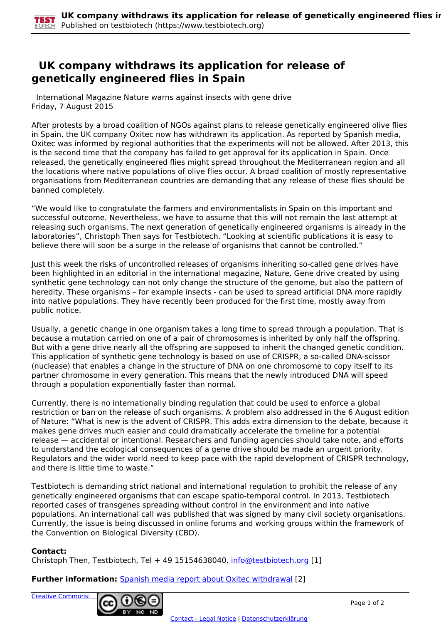## **UK company withdraws its application for release of genetically engineered flies in Spain**

 International Magazine Nature warns against insects with gene drive Friday, 7 August 2015

After protests by a broad coalition of NGOs against plans to release genetically engineered olive flies in Spain, the UK company Oxitec now has withdrawn its application. As reported by Spanish media, Oxitec was informed by regional authorities that the experiments will not be allowed. After 2013, this is the second time that the company has failed to get approval for its application in Spain. Once released, the genetically engineered flies might spread throughout the Mediterranean region and all the locations where native populations of olive flies occur. A broad coalition of mostly representative organisations from Mediterranean countries are demanding that any release of these flies should be banned completely.

"We would like to congratulate the farmers and environmentalists in Spain on this important and successful outcome. Nevertheless, we have to assume that this will not remain the last attempt at releasing such organisms. The next generation of genetically engineered organisms is already in the laboratories", Christoph Then says for Testbiotech. "Looking at scientific publications it is easy to believe there will soon be a surge in the release of organisms that cannot be controlled."

Just this week the risks of uncontrolled releases of organisms inheriting so-called gene drives have been highlighted in an editorial in the international magazine, Nature. Gene drive created by using synthetic gene technology can not only change the structure of the genome, but also the pattern of heredity. These organisms – for example insects - can be used to spread artificial DNA more rapidly into native populations. They have recently been produced for the first time, mostly away from public notice.

Usually, a genetic change in one organism takes a long time to spread through a population. That is because a mutation carried on one of a pair of chromosomes is inherited by only half the offspring. But with a gene drive nearly all the offspring are supposed to inherit the changed genetic condition. This application of synthetic gene technology is based on use of CRISPR, a so-called DNA-scissor (nuclease) that enables a change in the structure of DNA on one chromosome to copy itself to its partner chromosome in every generation. This means that the newly introduced DNA will speed through a population exponentially faster than normal.

Currently, there is no internationally binding regulation that could be used to enforce a global restriction or ban on the release of such organisms. A problem also addressed in the 6 August edition of Nature: "What is new is the advent of CRISPR. This adds extra dimension to the debate, because it makes gene drives much easier and could dramatically accelerate the timeline for a potential release — accidental or intentional. Researchers and funding agencies should take note, and efforts to understand the ecological consequences of a gene drive should be made an urgent priority. Regulators and the wider world need to keep pace with the rapid development of CRISPR technology, and there is little time to waste."

Testbiotech is demanding strict national and international regulation to prohibit the release of any genetically engineered organisms that can escape spatio-temporal control. In 2013, Testbiotech reported cases of transgenes spreading without control in the environment and into native populations. An international call was published that was signed by many civil society organisations. Currently, the issue is being discussed in online forums and working groups within the framework of the Convention on Biological Diversity (CBD).

## **Contact:**

Christoph Then, Testbiotech, Tel + 49 15154638040, [info@testbiotech.org](mailto:info@testbiotech.org) [1]

**Further information:** Spanish media report about Oxitec withdrawal [2]